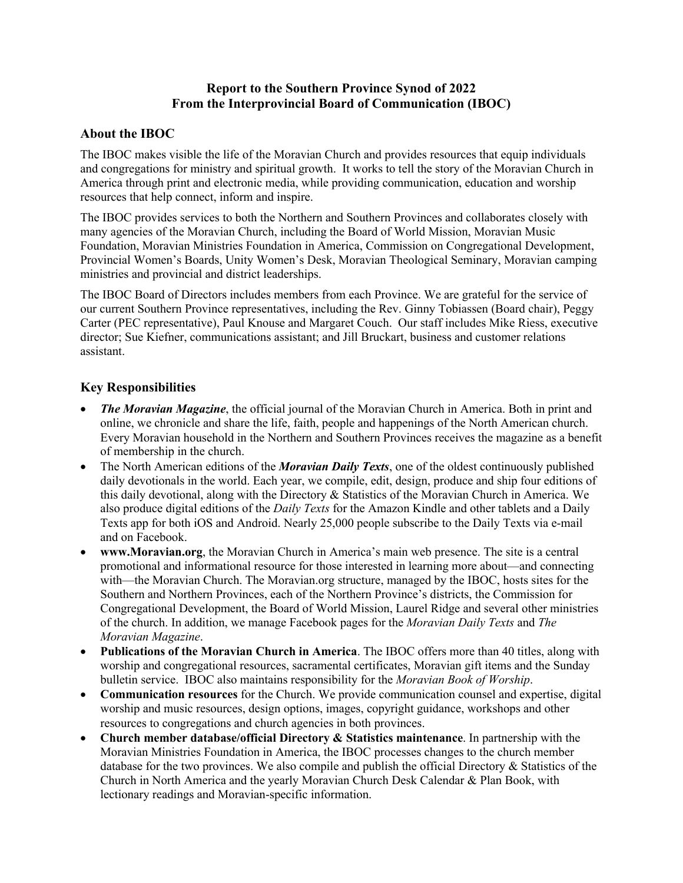# **Report to the Southern Province Synod of 2022 From the Interprovincial Board of Communication (IBOC)**

# **About the IBOC**

The IBOC makes visible the life of the Moravian Church and provides resources that equip individuals and congregations for ministry and spiritual growth. It works to tell the story of the Moravian Church in America through print and electronic media, while providing communication, education and worship resources that help connect, inform and inspire.

The IBOC provides services to both the Northern and Southern Provinces and collaborates closely with many agencies of the Moravian Church, including the Board of World Mission, Moravian Music Foundation, Moravian Ministries Foundation in America, Commission on Congregational Development, Provincial Women's Boards, Unity Women's Desk, Moravian Theological Seminary, Moravian camping ministries and provincial and district leaderships.

The IBOC Board of Directors includes members from each Province. We are grateful for the service of our current Southern Province representatives, including the Rev. Ginny Tobiassen (Board chair), Peggy Carter (PEC representative), Paul Knouse and Margaret Couch. Our staff includes Mike Riess, executive director; Sue Kiefner, communications assistant; and Jill Bruckart, business and customer relations assistant.

# **Key Responsibilities**

- *The Moravian Magazine*, the official journal of the Moravian Church in America. Both in print and online, we chronicle and share the life, faith, people and happenings of the North American church. Every Moravian household in the Northern and Southern Provinces receives the magazine as a benefit of membership in the church.
- The North American editions of the *Moravian Daily Texts*, one of the oldest continuously published daily devotionals in the world. Each year, we compile, edit, design, produce and ship four editions of this daily devotional, along with the Directory & Statistics of the Moravian Church in America. We also produce digital editions of the *Daily Texts* for the Amazon Kindle and other tablets and a Daily Texts app for both iOS and Android. Nearly 25,000 people subscribe to the Daily Texts via e-mail and on Facebook.
- **www.Moravian.org**, the Moravian Church in America's main web presence. The site is a central promotional and informational resource for those interested in learning more about—and connecting with—the Moravian Church. The Moravian.org structure, managed by the IBOC, hosts sites for the Southern and Northern Provinces, each of the Northern Province's districts, the Commission for Congregational Development, the Board of World Mission, Laurel Ridge and several other ministries of the church. In addition, we manage Facebook pages for the *Moravian Daily Texts* and *The Moravian Magazine*.
- **Publications of the Moravian Church in America**. The IBOC offers more than 40 titles, along with worship and congregational resources, sacramental certificates, Moravian gift items and the Sunday bulletin service. IBOC also maintains responsibility for the *Moravian Book of Worship*.
- **Communication resources** for the Church. We provide communication counsel and expertise, digital worship and music resources, design options, images, copyright guidance, workshops and other resources to congregations and church agencies in both provinces.
- **Church member database/official Directory & Statistics maintenance**. In partnership with the Moravian Ministries Foundation in America, the IBOC processes changes to the church member database for the two provinces. We also compile and publish the official Directory & Statistics of the Church in North America and the yearly Moravian Church Desk Calendar & Plan Book, with lectionary readings and Moravian-specific information.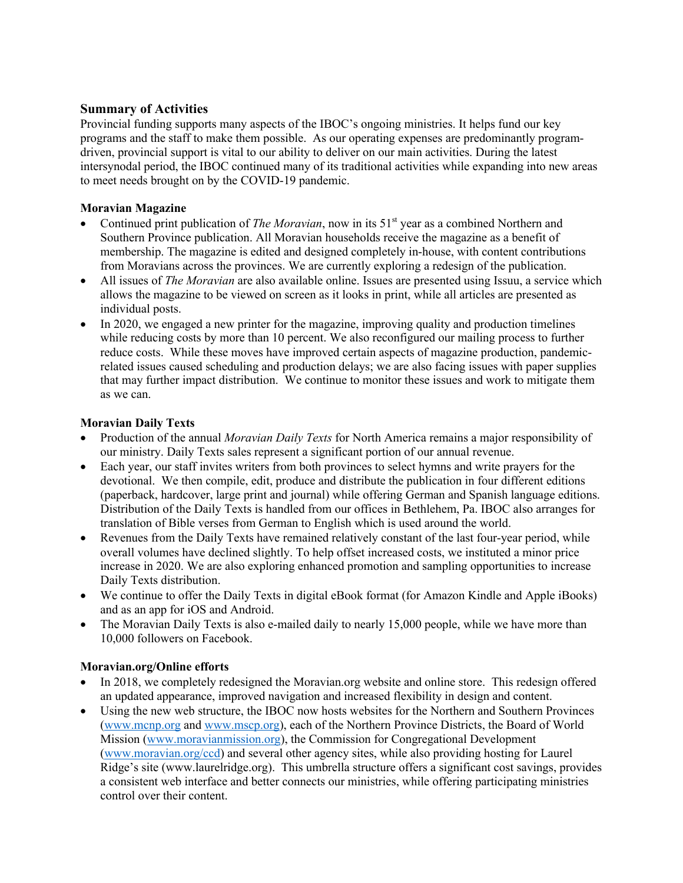# **Summary of Activities**

Provincial funding supports many aspects of the IBOC's ongoing ministries. It helps fund our key programs and the staff to make them possible. As our operating expenses are predominantly programdriven, provincial support is vital to our ability to deliver on our main activities. During the latest intersynodal period, the IBOC continued many of its traditional activities while expanding into new areas to meet needs brought on by the COVID-19 pandemic.

### **Moravian Magazine**

- Continued print publication of *The Moravian*, now in its 51<sup>st</sup> year as a combined Northern and Southern Province publication. All Moravian households receive the magazine as a benefit of membership. The magazine is edited and designed completely in-house, with content contributions from Moravians across the provinces. We are currently exploring a redesign of the publication.
- All issues of *The Moravian* are also available online. Issues are presented using Issuu, a service which allows the magazine to be viewed on screen as it looks in print, while all articles are presented as individual posts.
- In 2020, we engaged a new printer for the magazine, improving quality and production timelines while reducing costs by more than 10 percent. We also reconfigured our mailing process to further reduce costs. While these moves have improved certain aspects of magazine production, pandemicrelated issues caused scheduling and production delays; we are also facing issues with paper supplies that may further impact distribution. We continue to monitor these issues and work to mitigate them as we can.

#### **Moravian Daily Texts**

- Production of the annual *Moravian Daily Texts* for North America remains a major responsibility of our ministry. Daily Texts sales represent a significant portion of our annual revenue.
- Each year, our staff invites writers from both provinces to select hymns and write prayers for the devotional. We then compile, edit, produce and distribute the publication in four different editions (paperback, hardcover, large print and journal) while offering German and Spanish language editions. Distribution of the Daily Texts is handled from our offices in Bethlehem, Pa. IBOC also arranges for translation of Bible verses from German to English which is used around the world.
- Revenues from the Daily Texts have remained relatively constant of the last four-year period, while overall volumes have declined slightly. To help offset increased costs, we instituted a minor price increase in 2020. We are also exploring enhanced promotion and sampling opportunities to increase Daily Texts distribution.
- We continue to offer the Daily Texts in digital eBook format (for Amazon Kindle and Apple iBooks) and as an app for iOS and Android.
- The Moravian Daily Texts is also e-mailed daily to nearly 15,000 people, while we have more than 10,000 followers on Facebook.

#### **Moravian.org/Online efforts**

- In 2018, we completely redesigned the Moravian.org website and online store. This redesign offered an updated appearance, improved navigation and increased flexibility in design and content.
- Using the new web structure, the IBOC now hosts websites for the Northern and Southern Provinces (www.mcnp.org and www.mscp.org), each of the Northern Province Districts, the Board of World Mission (www.moravianmission.org), the Commission for Congregational Development (www.moravian.org/ccd) and several other agency sites, while also providing hosting for Laurel Ridge's site (www.laurelridge.org). This umbrella structure offers a significant cost savings, provides a consistent web interface and better connects our ministries, while offering participating ministries control over their content.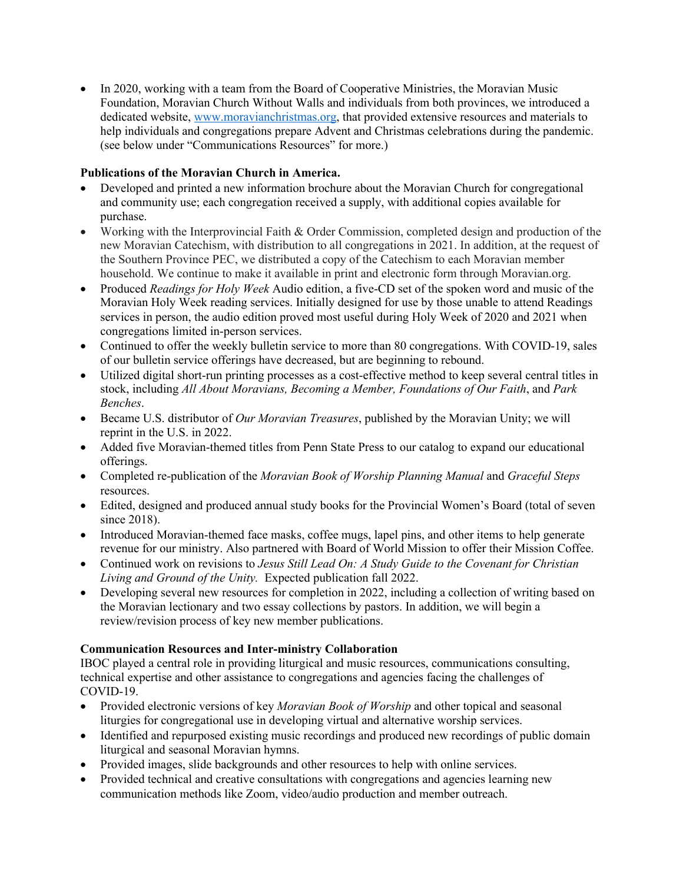• In 2020, working with a team from the Board of Cooperative Ministries, the Moravian Music Foundation, Moravian Church Without Walls and individuals from both provinces, we introduced a dedicated website, www.moravianchristmas.org, that provided extensive resources and materials to help individuals and congregations prepare Advent and Christmas celebrations during the pandemic. (see below under "Communications Resources" for more.)

### **Publications of the Moravian Church in America.**

- Developed and printed a new information brochure about the Moravian Church for congregational and community use; each congregation received a supply, with additional copies available for purchase.
- Working with the Interprovincial Faith & Order Commission, completed design and production of the new Moravian Catechism, with distribution to all congregations in 2021. In addition, at the request of the Southern Province PEC, we distributed a copy of the Catechism to each Moravian member household. We continue to make it available in print and electronic form through Moravian.org.
- Produced *Readings for Holy Week* Audio edition, a five-CD set of the spoken word and music of the Moravian Holy Week reading services. Initially designed for use by those unable to attend Readings services in person, the audio edition proved most useful during Holy Week of 2020 and 2021 when congregations limited in-person services.
- Continued to offer the weekly bulletin service to more than 80 congregations. With COVID-19, sales of our bulletin service offerings have decreased, but are beginning to rebound.
- Utilized digital short-run printing processes as a cost-effective method to keep several central titles in stock, including *All About Moravians, Becoming a Member, Foundations of Our Faith*, and *Park Benches*.
- Became U.S. distributor of *Our Moravian Treasures*, published by the Moravian Unity; we will reprint in the U.S. in 2022.
- Added five Moravian-themed titles from Penn State Press to our catalog to expand our educational offerings.
- Completed re-publication of the *Moravian Book of Worship Planning Manual* and *Graceful Steps*  resources.
- Edited, designed and produced annual study books for the Provincial Women's Board (total of seven since 2018).
- Introduced Moravian-themed face masks, coffee mugs, lapel pins, and other items to help generate revenue for our ministry. Also partnered with Board of World Mission to offer their Mission Coffee.
- Continued work on revisions to *Jesus Still Lead On: A Study Guide to the Covenant for Christian Living and Ground of the Unity.* Expected publication fall 2022.
- Developing several new resources for completion in 2022, including a collection of writing based on the Moravian lectionary and two essay collections by pastors. In addition, we will begin a review/revision process of key new member publications.

# **Communication Resources and Inter-ministry Collaboration**

IBOC played a central role in providing liturgical and music resources, communications consulting, technical expertise and other assistance to congregations and agencies facing the challenges of COVID-19.

- Provided electronic versions of key *Moravian Book of Worship* and other topical and seasonal liturgies for congregational use in developing virtual and alternative worship services.
- Identified and repurposed existing music recordings and produced new recordings of public domain liturgical and seasonal Moravian hymns.
- Provided images, slide backgrounds and other resources to help with online services.
- Provided technical and creative consultations with congregations and agencies learning new communication methods like Zoom, video/audio production and member outreach.